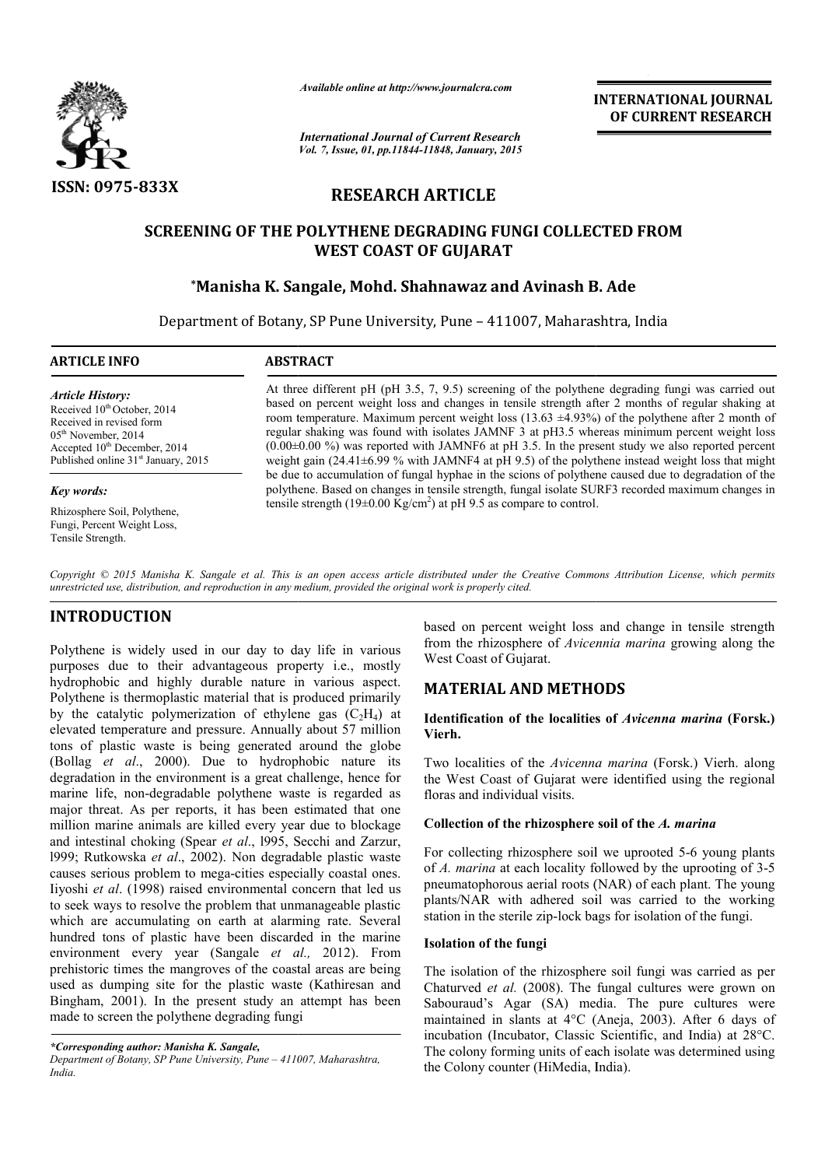

*Available online at http://www.journalcra.com*

*International Journal of Current Research Vol. 7, Issue, 01, pp.11844-11848, January, 2015* **INTERNATIONAL INTERNATIONAL JOURNAL OF CURRENT RESEARCH** 

# **RESEARCH ARTICLE**

# **SCREENING OF THE POLYTHENE DEGRADING FUNGI COLLECTED FROM WEST COAST OF GUJARAT**

# **\*Manisha K. Sangale, Mohd. Shahnawaz and Avinash B. Ade Manisha Manisha Sangale, Avinash B.**

Department of Botany, SP Pune University, Pune – 411007, Maharashtra, India

### **ARTICLE INFO ABSTRACT**

*Article History:* Received  $10^{th}$  October, 2014 Received in revised form 05<sup>th</sup> November, 2014 Accepted 10<sup>th</sup> December, 2014 Published online 31<sup>st</sup> January, 2015

#### *Key words:*

Rhizosphere Soil, Polythene, Fungi, Percent Weight Loss, Tensile Strength.

At three different pH (pH 3.5, 7, 9.5) screening of the polythene degrading fungi was carried out based on percent weight loss and changes in tensile strength after 2 months of regular shaking at room temperature. Maximum percent weight loss  $(13.63 \pm 4.93\%)$  of the polythene after 2 month of regular shaking was found with isolates JAMNF 3 at pH3.5 whereas minimum percent weight loss  $(0.00\pm0.00\%)$  was reported with JAMNF6 at pH 3.5. In the present study we also reported percent weight gain (24.41±6.99 % with JAMNF4 at pH 9.5) of the polythene instead weight loss that might be due to accumulation of fungal hyphae in the scions of polythene caused due to degradation of the polythene. Based on changes in tensile strength, fungal isolate SURF3 recorded maximum changes in tensile strength (19 $\pm$ 0.00 Kg/cm<sup>2</sup>) at pH 9.5 as compare to control. fferent pH (pH 3.5, 7, 9.5) screening of the polythene degrading fungi was carried out ercent weight loss and changes in tensile strength after 2 months of regular shaking at rature. Maximum percent weight loss  $(13.63 \pm$ JAMNF4 at pH 9.5) of the polythene instead weight loss that might hyphae in the scions of polythene caused due to degradation of the ensile strength, fungal isolate SURF3 recorded maximum changes in at pH 9.5 as compare to **INTERNATIONAL JOURNAL**<br> **OF CURRENT RESEARCH**<br> **OF CURRENT RESEARCH**<br> **S. Ade**<br> **S.** Ade<br> **S.** Ade<br> **S.** Ade<br> **S.** Ade<br> **S.** Ade<br> **S.** Ade<br> **S.** Ade<br> **S.** Ade<br> **S.** Ade<br> **S.** Ade<br> **S.** Ade<br> **S.** Ade<br> **S.** Ade<br> **S.** Ade<br>

Copyright © 2015 Manisha K. Sangale et al. This is an open access article distributed under the Creative Commons Attribution License, which permits *unrestricted use, distribution, and reproduction in any medium, provided the original work is properly cited.*

# **INTRODUCTION**

Polythene is widely used in our day to day life in various purposes due to their advantageous property i.e., mostly hydrophobic and highly durable nature in various aspect. Polythene is thermoplastic material that is produced primarily by the catalytic polymerization of ethylene gas  $(C_2H_4)$  at elevated temperature and pressure. Annually about 57 million tons of plastic waste is being generated around the globe (Bollag *et al.*, 2000). Due to hydrophobic nature its degradation in the environment is a great challenge, hence for marine life, non-degradable polythene waste is regarded as major threat. As per reports, it has been estimated that one million marine animals are killed every year due to blockage and intestinal choking (Spear *et al*., l995, Secchi and Zarzur, l999; Rutkowska *et al*., 2002). Non degradable plastic waste causes serious problem to mega-cities especially coastal ones. Iiyoshi *et al*. (1998) raised environmental concern that led us to seek ways to resolve the problem that unmanageable plastic which are accumulating on earth at alarming rate. Several hundred tons of plastic have been discarded in the marine environment every year (Sangale *et a al.,* 2012). From prehistoric times the mangroves of the coastal areas are being used as dumping site for the plastic waste (Kathiresan and Bingham, 2001). In the present study an attempt has been made to screen the polythene degrading fungi degradable polythen<br>per reports, it has b<br>iimals are killed even<br>king (Spear *et al.*, 19<br>*et al.*, 2002). Non d<br>bblem to mega-cities

*\*Corresponding author: Manisha K. Sangale, Department of Botany, SP Pune University, Pune – 411007, Maharashtra, India.*

based on percent weight loss and change in tensile strength from the rhizosphere of *Avicennia marina marina* growing along the West Coast of Gujarat.

# **MATERIAL AND METHOD METHODS**

### **Identification of the localities of**  *Avicenna marina* **(Forsk.) Vierh.**

Two localities of the *Avicenna marina*  (Forsk.) Vierh. along the West Coast of Gujarat were identified using the regional floras and individual visits.

### **Collection of the rhizosphere soil of the A. marina**

For collecting rhizosphere soil we uprooted 5-6 young plants of *A. marina* at each locality followed by the uprooting of 3-5 pneumatophorous aerial roots (NAR) of each plant. The young plants/NAR with adhered soil was carried to the working station in the sterile zip-lock bags for isolation of the fungi.

### **Isolation of the fungi**

The isolation of the rhizosphere soil fungi was carried as per Chaturved *et al.* (2008). The fungal cultures were grown on Sabouraud's Agar (SA) media. The pure cultures were maintained in slants at 4°C (Aneja, 2003). After 6 days of incubation (Incubator, Classic Scientific, and India) at 28°C. The colony forming units of each isolate was determined using the Colony counter (HiMedia, India). pneumatophorous aerial roots (NAR) of each plant. The young<br>plants/NAR with adhered soil was carried to the working<br>station in the sterile zip-lock bags for isolation of the fungi.<br>**Isolation of the fungi**<br>The isolation o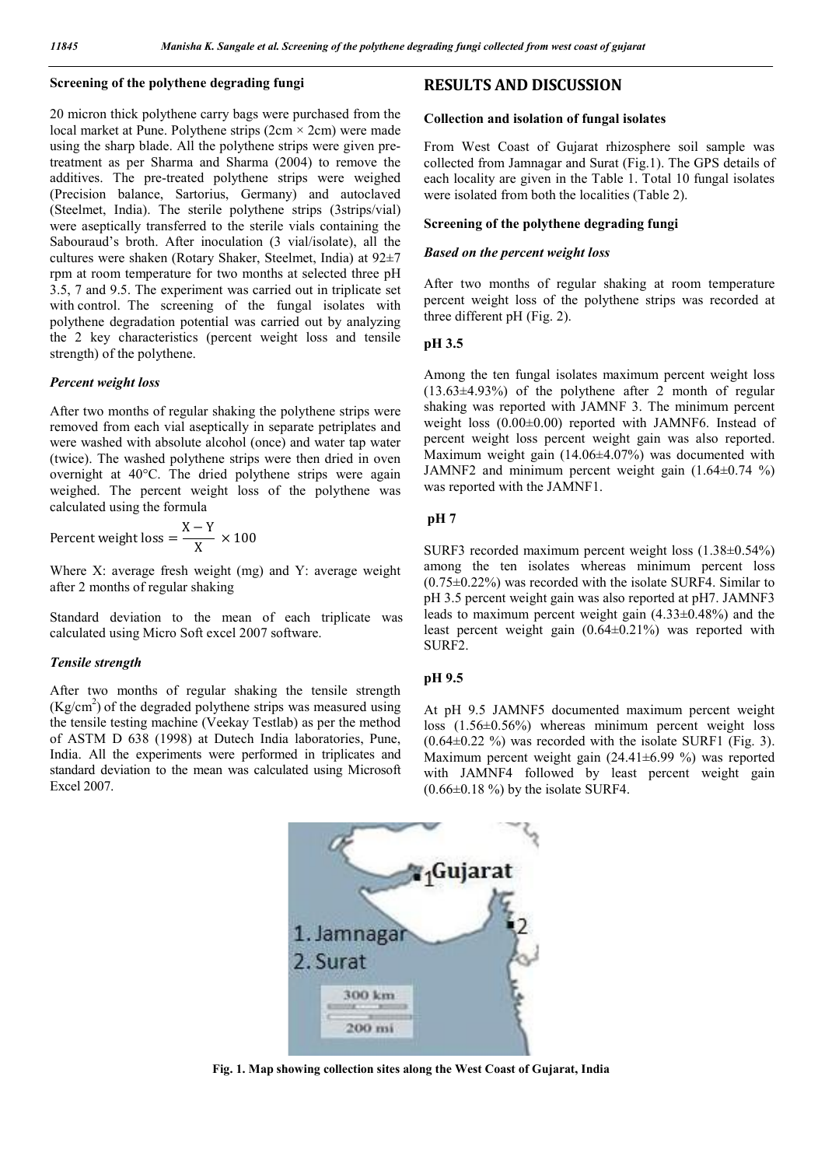### **Screening of the polythene degrading fungi**

20 micron thick polythene carry bags were purchased from the local market at Pune. Polythene strips  $(2cm \times 2cm)$  were made using the sharp blade. All the polythene strips were given pretreatment as per Sharma and Sharma (2004) to remove the additives. The pre-treated polythene strips were weighed (Precision balance, Sartorius, Germany) and autoclaved (Steelmet, India). The sterile polythene strips (3strips/vial) were aseptically transferred to the sterile vials containing the Sabouraud's broth. After inoculation (3 vial/isolate), all the cultures were shaken (Rotary Shaker, Steelmet, India) at 92±7 rpm at room temperature for two months at selected three pH 3.5, 7 and 9.5. The experiment was carried out in triplicate set with control. The screening of the fungal isolates with polythene degradation potential was carried out by analyzing the 2 key characteristics (percent weight loss and tensile strength) of the polythene.

#### *Percent weight loss*

After two months of regular shaking the polythene strips were removed from each vial aseptically in separate petriplates and were washed with absolute alcohol (once) and water tap water (twice). The washed polythene strips were then dried in oven overnight at 40°C. The dried polythene strips were again weighed. The percent weight loss of the polythene was calculated using the formula

Percent weight loss = 
$$
\frac{X - Y}{X} \times 100
$$

Where X: average fresh weight (mg) and Y: average weight after 2 months of regular shaking

Standard deviation to the mean of each triplicate was calculated using Micro Soft excel 2007 software.

#### *Tensile strength*

After two months of regular shaking the tensile strength  $(Kg/cm<sup>2</sup>)$  of the degraded polythene strips was measured using the tensile testing machine (Veekay Testlab) as per the method of ASTM D 638 (1998) at Dutech India laboratories, Pune, India. All the experiments were performed in triplicates and standard deviation to the mean was calculated using Microsoft Excel 2007.

## **RESULTS AND DISCUSSION**

#### **Collection and isolation of fungal isolates**

From West Coast of Gujarat rhizosphere soil sample was collected from Jamnagar and Surat (Fig.1). The GPS details of each locality are given in the Table 1. Total 10 fungal isolates were isolated from both the localities (Table 2).

### **Screening of the polythene degrading fungi**

#### *Based on the percent weight loss*

After two months of regular shaking at room temperature percent weight loss of the polythene strips was recorded at three different pH (Fig. 2).

#### **pH 3.5**

Among the ten fungal isolates maximum percent weight loss  $(13.63\pm4.93\%)$  of the polythene after 2 month of regular shaking was reported with JAMNF 3. The minimum percent weight loss (0.00±0.00) reported with JAMNF6. Instead of percent weight loss percent weight gain was also reported. Maximum weight gain (14.06±4.07%) was documented with JAMNF2 and minimum percent weight gain  $(1.64\pm0.74\degree\%)$ was reported with the JAMNF1.

#### **pH 7**

SURF3 recorded maximum percent weight loss (1.38±0.54%) among the ten isolates whereas minimum percent loss (0.75±0.22%) was recorded with the isolate SURF4. Similar to pH 3.5 percent weight gain was also reported at pH7. JAMNF3 leads to maximum percent weight gain (4.33±0.48%) and the least percent weight gain (0.64±0.21%) was reported with SURF2.

#### **pH 9.5**

At pH 9.5 JAMNF5 documented maximum percent weight loss (1.56±0.56%) whereas minimum percent weight loss  $(0.64\pm0.22)$ % was recorded with the isolate SURF1 (Fig. 3). Maximum percent weight gain (24.41±6.99 %) was reported with JAMNF4 followed by least percent weight gain  $(0.66\pm0.18\%)$  by the isolate SURF4.



**Fig. 1. Map showing collection sites along the West Coast of Gujarat, India**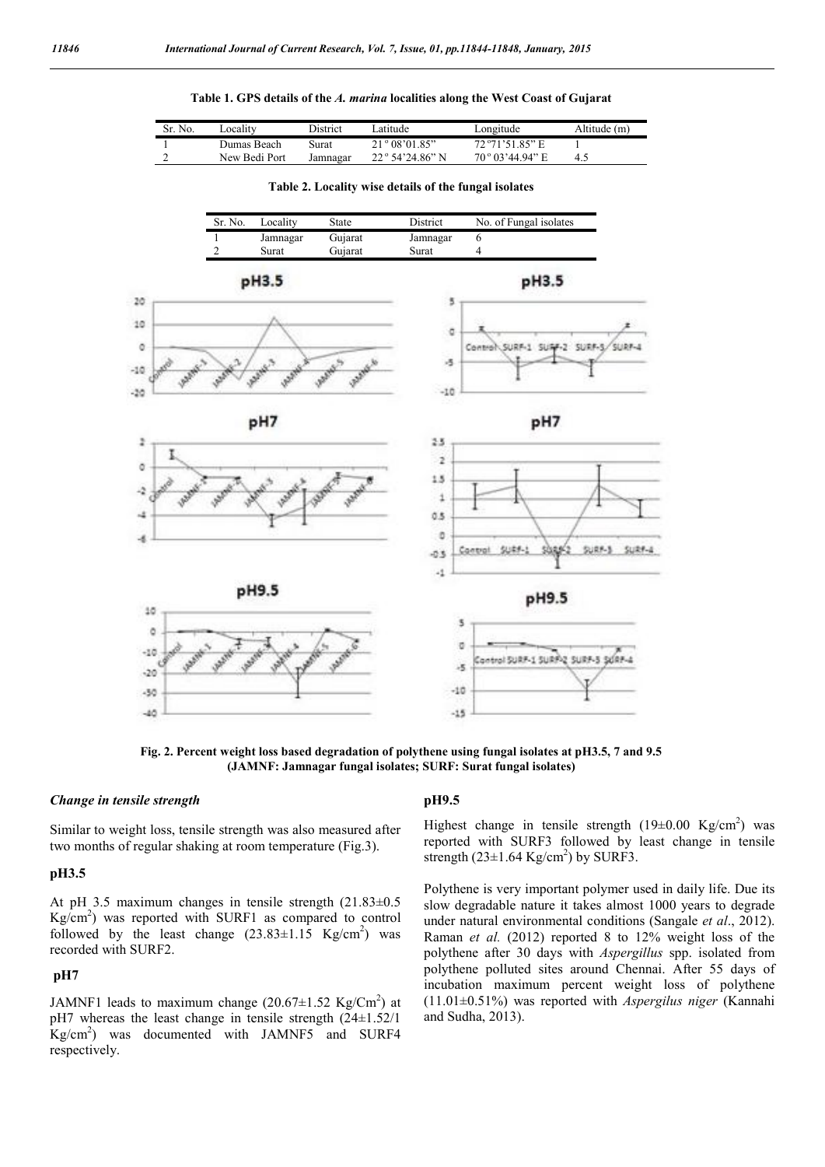### **Table 1. GPS details of the** *A. marina* **localities along the West Coast of Gujarat**

| N <sub>0</sub><br>Sr. | ∟ocalitv      | District | atitude                  | ∟ongitude                | Altitude (m) |
|-----------------------|---------------|----------|--------------------------|--------------------------|--------------|
|                       | Dumas Beach-  | Surat    | 21°08'01.85"             | $72^{\circ}71'5185"$ E   |              |
|                       | New Bedi Port | Jamnagar | $22^{\circ}$ 54'24.86" N | $70^{\circ}$ 03'44.94" E |              |



**Table 2. Locality wise details of the fungal isolates**

**Fig. 2. Percent weight loss based degradation of polythene using fungal isolates at pH3.5, 7 and 9.5 (JAMNF: Jamnagar fungal isolates; SURF: Surat fungal isolates)**

#### *Change in tensile strength*

Similar to weight loss, tensile strength was also measured after two months of regular shaking at room temperature (Fig.3).

### **pH3.5**

At pH 3.5 maximum changes in tensile strength (21.83±0.5 Kg/cm2 ) was reported with SURF1 as compared to control followed by the least change  $(23.83 \pm 1.15 \text{ Kg/cm}^2)$  was recorded with SURF2.

## **pH7**

JAMNF1 leads to maximum change  $(20.67 \pm 1.52 \text{ Kg/cm}^2)$  at pH7 whereas the least change in tensile strength (24±1.52/1 Kg/cm2 ) was documented with JAMNF5 and SURF4 respectively.

### **pH9.5**

Highest change in tensile strength  $(19\pm0.00 \text{ Kg/cm}^2)$  was reported with SURF3 followed by least change in tensile strength  $(23\pm1.64 \text{ Kg/cm}^2)$  by SURF3.

Polythene is very important polymer used in daily life. Due its slow degradable nature it takes almost 1000 years to degrade under natural environmental conditions (Sangale *et al*., 2012). Raman *et al.* (2012) reported 8 to 12% weight loss of the polythene after 30 days with *Aspergillus* spp. isolated from polythene polluted sites around Chennai. After 55 days of incubation maximum percent weight loss of polythene (11.01±0.51%) was reported with *Aspergilus niger* (Kannahi and Sudha, 2013).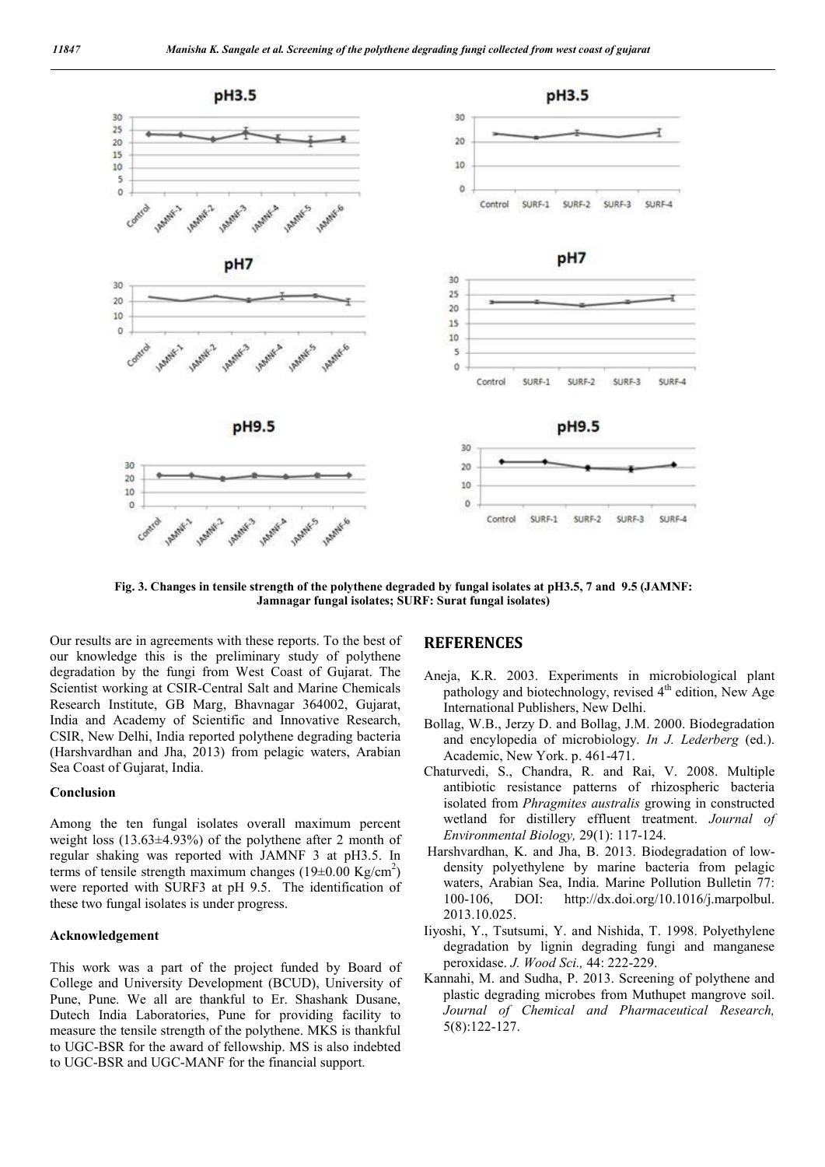

**Fig. 3. Changes in tensile strength of the polythene degraded by fungal isolates at pH3.5, 7 and 9.5 (JAMNF: Jamnagar fungal isolates; SURF: Surat fungal isolates)**

Our results are in agreements with these reports. To the best of our knowledge this is the preliminary study of polythene degradation by the fungi from West Coast of Gujarat. The Scientist working at CSIR-Central Salt and Marine Chemicals Research Institute, GB Marg, Bhavnagar 364002, Gujarat, India and Academy of Scientific and Innovative Research, CSIR, New Delhi, India reported polythene degrading bacteria (Harshvardhan and Jha, 2013) from pelagic waters, Arabian Sea Coast of Gujarat, India.

#### **Conclusion**

Among the ten fungal isolates overall maximum percent weight loss (13.63±4.93%) of the polythene after 2 month of regular shaking was reported with JAMNF 3 at pH3.5. In terms of tensile strength maximum changes  $(19\pm0.00 \text{ kg/cm}^2)$ were reported with SURF3 at pH 9.5. The identification of these two fungal isolates is under progress.

#### **Acknowledgement**

This work was a part of the project funded by Board of College and University Development (BCUD), University of Pune, Pune. We all are thankful to Er. Shashank Dusane, Dutech India Laboratories, Pune for providing facility to measure the tensile strength of the polythene. MKS is thankful to UGC-BSR for the award of fellowship. MS is also indebted to UGC-BSR and UGC-MANF for the financial support.

## **REFERENCES**

- Aneja, K.R. 2003. Experiments in microbiological plant pathology and biotechnology, revised  $4<sup>th</sup>$  edition, New Age International Publishers, New Delhi.
- Bollag, W.B., Jerzy D. and Bollag, J.M. 2000. Biodegradation and encylopedia of microbiology. *In J. Lederberg* (ed.). Academic, New York. p. 461-471.
- Chaturvedi, S., Chandra, R. and Rai, V. 2008. Multiple antibiotic resistance patterns of rhizospheric bacteria isolated from *Phragmites australis* growing in constructed wetland for distillery effluent treatment. *Journal of Environmental Biology,* 29(1): 117-124.
- Harshvardhan, K. and Jha, B. 2013. Biodegradation of lowdensity polyethylene by marine bacteria from pelagic waters, Arabian Sea, India. Marine Pollution Bulletin 77: 100-106, DOI: http://dx.doi.org/10.1016/j.marpolbul. 2013.10.025.
- Iiyoshi, Y., Tsutsumi, Y. and Nishida, T. 1998. Polyethylene degradation by lignin degrading fungi and manganese peroxidase. *J. Wood Sci.,* 44: 222-229.
- Kannahi, M. and Sudha, P. 2013. Screening of polythene and plastic degrading microbes from Muthupet mangrove soil. *Journal of Chemical and Pharmaceutical Research,* 5(8):122-127.